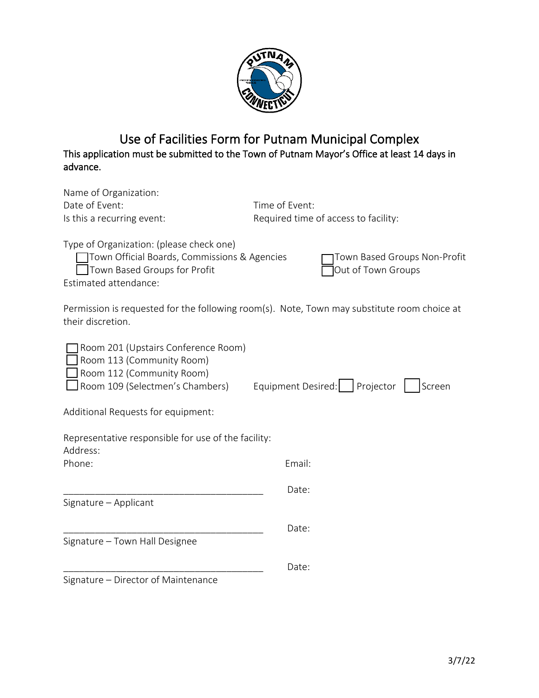

## Use of Facilities Form for Putnam Municipal Complex This application must be submitted to the Town of Putnam Mayor's Office at least 14 days in advance.

| Name of Organization:<br>Date of Event:<br>Is this a recurring event:                                                                             | Time of Event:<br>Required time of access to facility:                                      |
|---------------------------------------------------------------------------------------------------------------------------------------------------|---------------------------------------------------------------------------------------------|
| Type of Organization: (please check one)<br>Town Official Boards, Commissions & Agencies<br>Town Based Groups for Profit<br>Estimated attendance: | Town Based Groups Non-Profit<br>Out of Town Groups                                          |
| their discretion.                                                                                                                                 | Permission is requested for the following room(s). Note, Town may substitute room choice at |
| Room 201 (Upstairs Conference Room)<br>Room 113 (Community Room)<br>Room 112 (Community Room)<br>Room 109 (Selectmen's Chambers)                  | Equipment Desired:   Projector<br>Screen                                                    |
| Additional Requests for equipment:                                                                                                                |                                                                                             |
| Representative responsible for use of the facility:<br>Address:                                                                                   |                                                                                             |
| Phone:                                                                                                                                            | Email:                                                                                      |
| Signature - Applicant                                                                                                                             | Date:                                                                                       |
|                                                                                                                                                   | Date:                                                                                       |
| Signature - Town Hall Designee                                                                                                                    |                                                                                             |
|                                                                                                                                                   | Date:                                                                                       |
| Signature – Director of Maintenance                                                                                                               |                                                                                             |